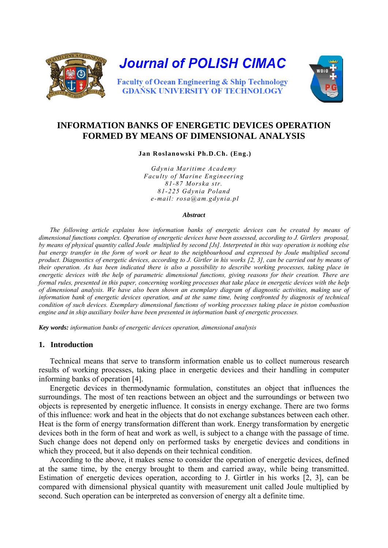

# **INFORMATION BANKS OF ENERGETIC DEVICES OPERATION FORMED BY MEANS OF DIMENSIONAL ANALYSIS**

 **Jan Roslanowski Ph.D.Ch. (Eng.)** 

*Gdynia Maritime Academy Faculty of Marine Engineering 81-87 Morska str. 81-225 Gdynia Poland e-mail: rosa@am.gdynia.pl* 

#### *Abstract*

*The following article explains how information banks of energetic devices can be created by means of dimensional functions complex. Operation of energetic devices have been assessed, according to J. Girtlers proposal, by means of physical quantity called Joule multiplied by second [Js]. Interpreted in this way operation is nothing else*  but energy transfer in the form of work or heat to the neighbourhood and expressed by Joule multiplied second *product. Diagnostics of energetic devices, according to J. Girtler in his works [2, 3], can be carried out by means of their operation. As has been indicated there is also a possibility to describe working processes, taking place in energetic devices with the help of parametric dimensional functions, giving reasons for their creation. There are formal rules, presented in this paper, concerning working processes that take place in energetic devices with the help of dimensional analysis. We have also been shown an exemplary diagram of diagnostic activities, making use of information bank of energetic devices operation, and at the same time, being confronted by diagnosis of technical condition of such devices. Exemplary dimensional functions of working processes taking place in piston combustion engine and in ship auxiliary boiler have been presented in information bank of energetic processes.* 

*Key words: information banks of energetic devices operation, dimensional analysis* 

### **1. Introduction**

Technical means that serve to transform information enable us to collect numerous research results of working processes, taking place in energetic devices and their handling in computer informing banks of operation [4].

Energetic devices in thermodynamic formulation, constitutes an object that influences the surroundings. The most of ten reactions between an object and the surroundings or between two objects is represented by energetic influence. It consists in energy exchange. There are two forms of this influence: work and heat in the objects that do not exchange substances between each other. Heat is the form of energy transformation different than work. Energy transformation by energetic devices both in the form of heat and work as well, is subject to a change with the passage of time. Such change does not depend only on performed tasks by energetic devices and conditions in which they proceed, but it also depends on their technical condition.

According to the above, it makes sense to consider the operation of energetic devices, defined at the same time, by the energy brought to them and carried away, while being transmitted. Estimation of energetic devices operation, according to J. Girtler in his works [2, 3], can be compared with dimensional physical quantity with measurement unit called Joule multiplied by second. Such operation can be interpreted as conversion of energy alt a definite time.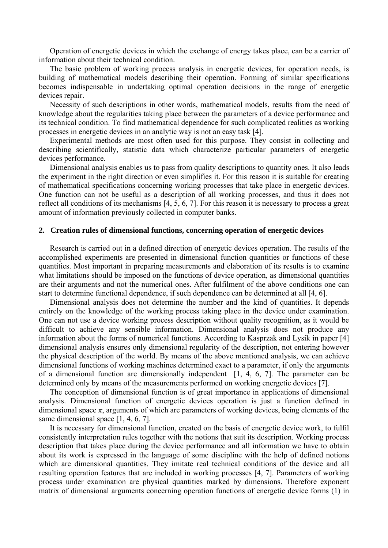Operation of energetic devices in which the exchange of energy takes place, can be a carrier of information about their technical condition.

The basic problem of working process analysis in energetic devices, for operation needs, is building of mathematical models describing their operation. Forming of similar specifications becomes indispensable in undertaking optimal operation decisions in the range of energetic devices repair.

Necessity of such descriptions in other words, mathematical models, results from the need of knowledge about the regularities taking place between the parameters of a device performance and its technical condition. To find mathematical dependence for such complicated realities as working processes in energetic devices in an analytic way is not an easy task [4].

Experimental methods are most often used for this purpose. They consist in collecting and describing scientifically, statistic data which characterize particular parameters of energetic devices performance.

Dimensional analysis enables us to pass from quality descriptions to quantity ones. It also leads the experiment in the right direction or even simplifies it. For this reason it is suitable for creating of mathematical specifications concerning working processes that take place in energetic devices. One function can not be useful as a description of all working processes, and thus it does not reflect all conditions of its mechanisms [4, 5, 6, 7]. For this reason it is necessary to process a great amount of information previously collected in computer banks.

### **2. Creation rules of dimensional functions, concerning operation of energetic devices**

Research is carried out in a defined direction of energetic devices operation. The results of the accomplished experiments are presented in dimensional function quantities or functions of these quantities. Most important in preparing measurements and elaboration of its results is to examine what limitations should be imposed on the functions of device operation, as dimensional quantities are their arguments and not the numerical ones. After fulfilment of the above conditions one can start to determine functional dependence, if such dependence can be determined at all [4, 6].

Dimensional analysis does not determine the number and the kind of quantities. It depends entirely on the knowledge of the working process taking place in the device under examination. One can not use a device working process description without quality recognition, as it would be difficult to achieve any sensible information. Dimensional analysis does not produce any information about the forms of numerical functions. According to Kasprzak and Lysik in paper [4] dimensional analysis ensures only dimensional regularity of the description, not entering however the physical description of the world. By means of the above mentioned analysis, we can achieve dimensional functions of working machines determined exact to a parameter, if only the arguments of a dimensional function are dimensionally independent [1, 4, 6, 7]. The parameter can be determined only by means of the measurements performed on working energetic devices [7].

The conception of dimensional function is of great importance in applications of dimensional analysis. Dimensional function of energetic devices operation is just a function defined in dimensional space  $\pi$ , arguments of which are parameters of working devices, being elements of the same dimensional space [1, 4, 6, 7].

It is necessary for dimensional function, created on the basis of energetic device work, to fulfil consistently interpretation rules together with the notions that suit its description. Working process description that takes place during the device performance and all information we have to obtain about its work is expressed in the language of some discipline with the help of defined notions which are dimensional quantities. They imitate real technical conditions of the device and all resulting operation features that are included in working processes [4, 7]. Parameters of working process under examination are physical quantities marked by dimensions. Therefore exponent matrix of dimensional arguments concerning operation functions of energetic device forms (1) in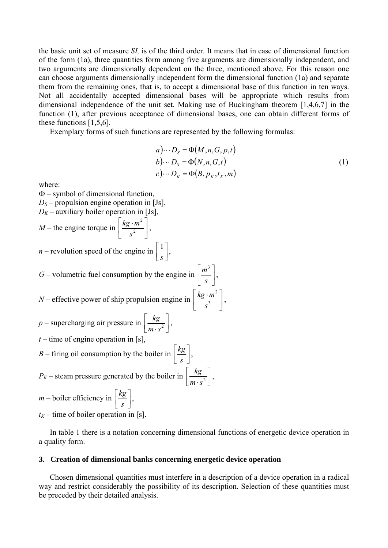the basic unit set of measure *SI,* is of the third order. It means that in case of dimensional function of the form (1a), three quantities form among five arguments are dimensionally independent, and two arguments are dimensionally dependent on the three, mentioned above. For this reason one can choose arguments dimensionally independent form the dimensional function (1a) and separate them from the remainin*g* ones, that is, to accept a dimensional base of this function in ten ways. Not all accidentally accepted dimensional bases will be appropriate which results from dimensional independence of the unit set. Making use of Buckingham theorem [1,4,6,7] in the function (1), after previous acceptance of dimensional bases, one can obtain different forms of these functions [1,5,6].

Exemplary forms of such functions are represented by the following formulas:

$$
a) \cdots D_{s} = \Phi(M, n, G, p, t)
$$
  
\n
$$
b) \cdots D_{s} = \Phi(N, n, G, t)
$$
  
\n
$$
c) \cdots D_{K} = \Phi(B, p_{K}, t_{K}, m)
$$
  
\n(1)

where:

 $\Phi$  – symbol of dimensional function,  $D<sub>S</sub>$  – propulsion engine operation in [Js],  $D_K$  – auxiliary boiler operation in [Js], *M* – the engine torque in  $\left\lfloor \frac{n \xi^{-m}}{s^2} \right\rfloor$ ⎦  $\left|\frac{kg \cdot m^2}{a^2}\right|$ ⎣  $|kg \cdot$ 2 2 *s*  $\frac{kg \cdot m^2}{2}$ , *n* – revolution speed of the engine in  $\begin{bmatrix} 1 \\ s \end{bmatrix}$  $\vert$ *s*  $\frac{1}{-}$ , *G* – volumetric fuel consumption by the engine in  $\left| \frac{m}{q} \right|$  $\overline{\phantom{a}}$  $\left|\frac{m^3}{a}\right|$ ⎣  $\mathsf I$ *s m* 3 , *N* – effective power of ship propulsion engine in  $\left\lfloor \frac{n \xi}{s^3} \right\rfloor$  $\overline{\phantom{a}}$  $\frac{k g \cdot m^2}{a^3}$ ⎣  $|kg \cdot$ 3 2 *s*  $\frac{kg \cdot m^2}{r^3}$ ,  $p$  – supercharging air pressure in  $\left\lfloor \frac{kg}{m \cdot s^2} \right\rfloor$  $\mathsf I$  $m \cdot s^2$  $\frac{kg}{\sqrt{2}}$ ,  $t$  – time of engine operation in [s], *B* – firing oil consumption by the boiler in  $\left\lfloor \frac{kg}{s} \right\rfloor$  $\overline{a}$ *s*  $\frac{kg}{m}$ ,  $P_K$  – steam pressure generated by the boiler in  $\left\lfloor \frac{kg}{m \cdot s^2} \right\rfloor$  $\mathsf I$  $m \cdot s^2$  $\frac{kg}{\sqrt{2}}$ ,  $m$  – boiler efficiency in  $\left\lfloor \frac{kg}{s} \right\rfloor$  $\lfloor$ *s*  $\frac{kg}{m}$ ,  $t_K$  – time of boiler operation in [s].

In table 1 there is a notation concerning dimensional functions of energetic device operation in a quality form.

#### **3. Creation of dimensional banks concerning energetic device operation**

Chosen dimensional quantities must interfere in a description of a device operation in a radical way and restrict considerably the possibility of its description. Selection of these quantities must be preceded by their detailed analysis.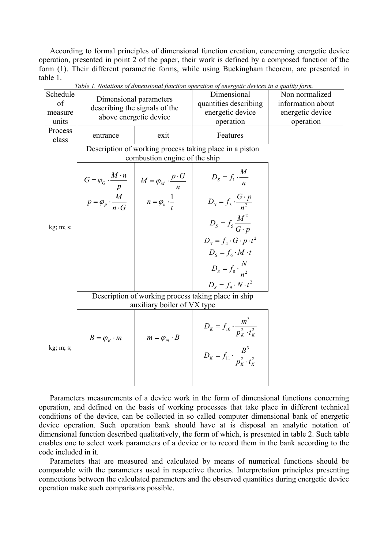According to formal principles of dimensional function creation, concerning energetic device operation, presented in point 2 of the paper, their work is defined by a composed function of the form (1). Their different parametric forms, while using Buckingham theorem, are presented in table 1.

| Schedule<br>of<br>measure<br>units                  | Dimensional parameters<br>above energetic device        | describing the signals of the                                                                                                                                      | Dimensional<br>quantities describing<br>energetic device<br>operation | Non normalized<br>information about<br>energetic device<br>operation |  |  |  |  |  |
|-----------------------------------------------------|---------------------------------------------------------|--------------------------------------------------------------------------------------------------------------------------------------------------------------------|-----------------------------------------------------------------------|----------------------------------------------------------------------|--|--|--|--|--|
| Process<br>class                                    | entrance                                                | exit                                                                                                                                                               | Features                                                              |                                                                      |  |  |  |  |  |
|                                                     | Description of working process taking place in a piston |                                                                                                                                                                    |                                                                       |                                                                      |  |  |  |  |  |
| combustion engine of the ship                       |                                                         |                                                                                                                                                                    |                                                                       |                                                                      |  |  |  |  |  |
|                                                     |                                                         | $G = \varphi_G \cdot \frac{M \cdot n}{p}$ $M = \varphi_M \cdot \frac{p \cdot G}{n}$<br>$p = \varphi_p \cdot \frac{M}{n \cdot G}$ $n = \varphi_n \cdot \frac{1}{t}$ | $D_S = f_1 \cdot \frac{M}{n}$                                         |                                                                      |  |  |  |  |  |
|                                                     |                                                         |                                                                                                                                                                    | $D_{s} = f_{3} \cdot \frac{G \cdot p}{n^{2}}$                         |                                                                      |  |  |  |  |  |
| kg; m; s;                                           |                                                         |                                                                                                                                                                    | $D_{s} = f_{s} \frac{M^{2}}{G \cdot p}$                               |                                                                      |  |  |  |  |  |
|                                                     |                                                         |                                                                                                                                                                    | $D_s = f_4 \cdot G \cdot p \cdot t^2$                                 |                                                                      |  |  |  |  |  |
|                                                     |                                                         |                                                                                                                                                                    | $D_s = f_{\epsilon} \cdot M \cdot t$                                  |                                                                      |  |  |  |  |  |
|                                                     |                                                         |                                                                                                                                                                    | $D_{s} = f_{s} \cdot \frac{N}{n^{2}}$                                 |                                                                      |  |  |  |  |  |
|                                                     |                                                         |                                                                                                                                                                    | $D_s = f_9 \cdot N \cdot t^2$                                         |                                                                      |  |  |  |  |  |
| Description of working process taking place in ship |                                                         |                                                                                                                                                                    |                                                                       |                                                                      |  |  |  |  |  |
|                                                     |                                                         | auxiliary boiler of VX type                                                                                                                                        |                                                                       |                                                                      |  |  |  |  |  |
| kg; m; s;                                           | $B = \varphi_B \cdot m$                                 | $m = \varphi_m \cdot B$                                                                                                                                            | $D_K = f_{10} \cdot \frac{m^3}{p_{\nu}^2 \cdot t_{\nu}^2}$            |                                                                      |  |  |  |  |  |
|                                                     |                                                         |                                                                                                                                                                    | $D_K = f_{11} \cdot \frac{B^3}{p_v^2 \cdot t_v^2}$                    |                                                                      |  |  |  |  |  |
|                                                     |                                                         |                                                                                                                                                                    |                                                                       |                                                                      |  |  |  |  |  |

*Table 1. Notations of dimensional function operation of energetic devices in a quality form.* 

Parameters measurements of a device work in the form of dimensional functions concerning operation, and defined on the basis of working processes that take place in different technical conditions of the device, can be collected in so called computer dimensional bank of energetic device operation. Such operation bank should have at is disposal an analytic notation of dimensional function described qualitatively, the form of which, is presented in table 2. Such table enables one to select work parameters of a device or to record them in the bank according to the code included in it.

Parameters that are measured and calculated by means of numerical functions should be comparable with the parameters used in respective theories. Interpretation principles presenting connections between the calculated parameters and the observed quantities during energetic device operation make such comparisons possible.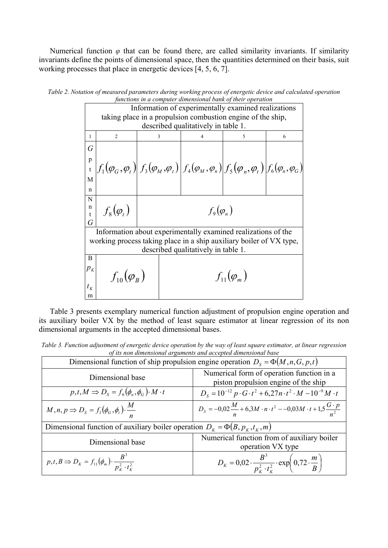Numerical function  $\varphi$  that can be found there, are called similarity invariants. If similarity invariants define the points of dimensional space, then the quantities determined on their basis, suit working processes that place in energetic devices [4, 5, 6, 7].

|                            | functions in a computer dimensional bank of their operation         |                    |                     |                                                                                                                                                                        |   |   |  |  |
|----------------------------|---------------------------------------------------------------------|--------------------|---------------------|------------------------------------------------------------------------------------------------------------------------------------------------------------------------|---|---|--|--|
|                            | Information of experimentally examined realizations                 |                    |                     |                                                                                                                                                                        |   |   |  |  |
|                            | taking place in a propulsion combustion engine of the ship,         |                    |                     |                                                                                                                                                                        |   |   |  |  |
|                            | described qualitatively in table 1.                                 |                    |                     |                                                                                                                                                                        |   |   |  |  |
| 1                          | $\overline{c}$                                                      | 3                  |                     | $\overline{4}$                                                                                                                                                         | 5 | 6 |  |  |
| G                          |                                                                     |                    |                     |                                                                                                                                                                        |   |   |  |  |
| p                          |                                                                     |                    |                     |                                                                                                                                                                        |   |   |  |  |
|                            |                                                                     |                    |                     | $\left f_1(\varphi_G, \varphi_t)\right f_3(\varphi_M, \varphi_t)\left f_4(\varphi_M, \varphi_n)\right f_5(\varphi_n, \varphi_t)\left f_6(\varphi_n, \varphi_G)\right $ |   |   |  |  |
| M                          |                                                                     |                    |                     |                                                                                                                                                                        |   |   |  |  |
|                            |                                                                     |                    |                     |                                                                                                                                                                        |   |   |  |  |
| n                          |                                                                     |                    |                     |                                                                                                                                                                        |   |   |  |  |
| N                          |                                                                     |                    |                     |                                                                                                                                                                        |   |   |  |  |
| n<br>$\ddagger$            | $f_8(\varphi_t)$                                                    | $f_{9}(\varphi_n)$ |                     |                                                                                                                                                                        |   |   |  |  |
| G                          |                                                                     |                    |                     |                                                                                                                                                                        |   |   |  |  |
|                            | Information about experimentally examined realizations of the       |                    |                     |                                                                                                                                                                        |   |   |  |  |
|                            | working process taking place in a ship auxiliary boiler of VX type, |                    |                     |                                                                                                                                                                        |   |   |  |  |
|                            | described qualitatively in table 1.                                 |                    |                     |                                                                                                                                                                        |   |   |  |  |
| B                          |                                                                     |                    |                     |                                                                                                                                                                        |   |   |  |  |
| $p_{\scriptscriptstyle K}$ |                                                                     |                    |                     |                                                                                                                                                                        |   |   |  |  |
|                            | $f_{10}(\overline{\varphi}_B)$                                      |                    | $f_{11}(\varphi_m)$ |                                                                                                                                                                        |   |   |  |  |
| $t_{K}$                    |                                                                     |                    |                     |                                                                                                                                                                        |   |   |  |  |
| m                          |                                                                     |                    |                     |                                                                                                                                                                        |   |   |  |  |

*Table 2. Notation of measured parameters during working process of energetic device and calculated operation functions in a computer dimensional bank of their operation* 

Table 3 presents exemplary numerical function adjustment of propulsion engine operation and its auxiliary boiler VX by the method of least square estimator at linear regression of its non dimensional arguments in the accepted dimensional bases.

Table 3. Function adjustment of energetic device operation by the way of least square estimator, at linear regression of its non dimensional arguments and accepted dimensional base

| Dimensional function of ship propulsion engine operation $D_s = \Phi(M, n, G, p, t)$ |                                                                                                  |  |  |  |
|--------------------------------------------------------------------------------------|--------------------------------------------------------------------------------------------------|--|--|--|
| Dimensional base                                                                     | Numerical form of operation function in a<br>piston propulsion engine of the ship                |  |  |  |
| $p,t,M \Rightarrow D_s = f_6(\phi_n,\phi_G) \cdot M \cdot t$                         | $D_s = 10^{-12} p \cdot G \cdot t^2 + 6.27 n \cdot t^2 \cdot M - 10^{-9} M \cdot t$              |  |  |  |
| $M, n, p \Rightarrow D_s = f_1(\phi_G, \phi_t) \cdot \frac{M}{n}$                    | $D_s = -0.02 \frac{M}{n} + 6.3 M \cdot n \cdot t^2 - 0.03 M \cdot t + 1.5 \frac{G \cdot p}{n^2}$ |  |  |  |
| Dimensional function of auxiliary boiler operation $D_k = \Phi(B, p_k, t_k, m)$      |                                                                                                  |  |  |  |
| Dimensional base                                                                     | Numerical function from of auxiliary boiler<br>operation VX type                                 |  |  |  |
| $p, t, B \Rightarrow D_K = f_{11}(\phi_m) \cdot \frac{B^3}{p_K^2 \cdot t_K^2}$       | $D_K = 0.02 \cdot \frac{B^3}{p_F^2 \cdot t_F^2} \cdot \exp\left(0.72 \cdot \frac{m}{B}\right)$   |  |  |  |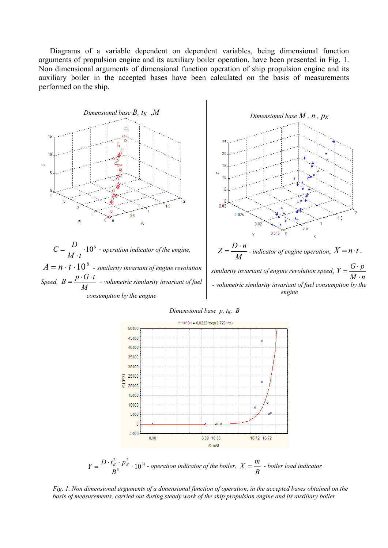Diagrams of a variable dependent on dependent variables, being dimensional function arguments of propulsion engine and its auxiliary boiler operation, have been presented in Fig. 1. Non dimensional arguments of dimensional function operation of ship propulsion engine and its auxiliary boiler in the accepted bases have been calculated on the basis of measurements performed on the ship.







*Dimensional base p, t<sub>K</sub>, B* 



 $=\frac{D \cdot l_K \cdot p_K}{B^3} \cdot 10^{31}$  $Y = \frac{D \cdot t_k^2 \cdot p_k^2}{B^3} \cdot 10^{31}$  - operation indicator of the boiler,  $X = \frac{m}{B}$  - boiler load indicator

basis of measurements, carried out during steady work of the ship propulsion engine and its auxiliary boiler *Fig. 1. Non dimensional arguments of a dimensional function of operation, in the accepted bases obtained on the*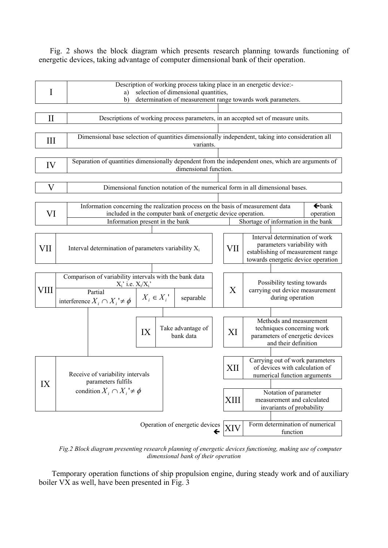Fig. 2 shows the block diagram which presents research planning towards functioning of energetic devices, taking advantage of computer dimensional bank of their operation.



*Fig.2 Block diagram presenting research planning of energetic devices functioning, making use of computer dimensional bank of their operation* 

Temporary operation functions of ship propulsion engine, during steady work and of auxiliary boiler VX as well, have been presented in Fig. 3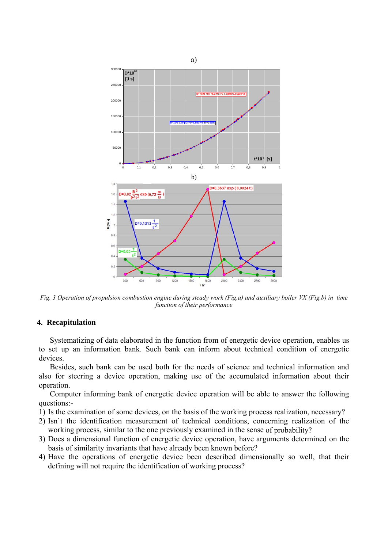

*Fig. 3 Operation of propulsion combustion engine during steady work (Fig.a) and auxiliary boiler VX (Fig.b) in time function of their performance* 

# **4. R ecapitulation**

Systematizing of data elaborated in the function from of energetic device operation, enables us to set up an information bank. Such bank can inform about technical condition of energetic devices.

Besides, such bank can be used both for the needs of science and technical information and also for steering a device operation, making use of the accumulated information about their operation.

Computer informing bank of energetic device operation will be able to answer the following questions:-

- 1) Is the examination of some devices, on the basis of the working process realization, necessary?
- working process, similar to the one previously examined in the sense of probability? 2) Isn`t the identification measurement of technical conditions, concerning realization of the
- basis of similarity invariants that have already been known before? 3) Does a dimensional function of energetic device operation, have arguments determined on the
- ) Have the operations of energetic device been described dimensionally so well, that their 4defining will not require the identification of working process?